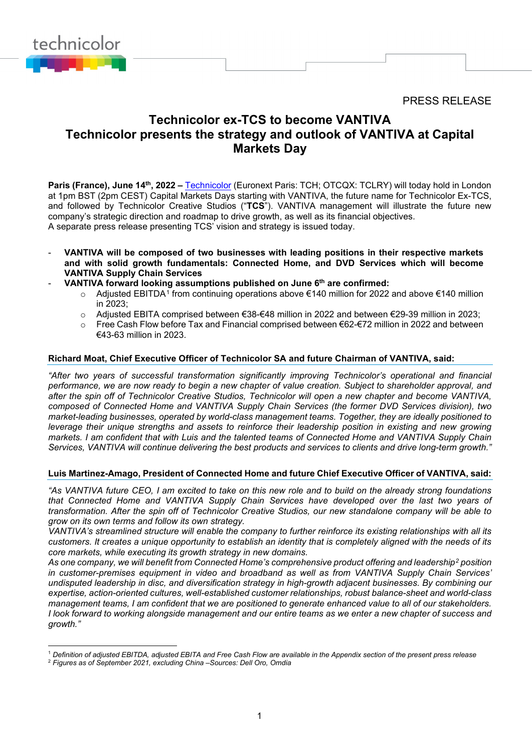PRESS RELEASE



# **Technicolor ex-TCS to become VANTIVA Technicolor presents the strategy and outlook of VANTIVA at Capital Markets Day**

**Paris (France), June 14th, 2022 – [Technicolor](http://www.technicolor.com/) (Euronext Paris: TCH: OTCQX: TCLRY) will today hold in London** at 1pm BST (2pm CEST) Capital Markets Days starting with VANTIVA, the future name for Technicolor Ex-TCS, and followed by Technicolor Creative Studios ("**TCS**"). VANTIVA management will illustrate the future new company's strategic direction and roadmap to drive growth, as well as its financial objectives. A separate press release presenting TCS' vision and strategy is issued today.

- **VANTIVA will be composed of two businesses with leading positions in their respective markets and with solid growth fundamentals: Connected Home, and DVD Services which will become VANTIVA Supply Chain Services**
- **VANTIVA forward looking assumptions published on June 6th are confirmed:**
	- o Adjusted EBITDA<sup>[1](#page-0-0)</sup> from continuing operations above €140 million for 2022 and above €140 million in 2023;
	- o Adjusted EBITA comprised between €38-€48 million in 2022 and between €29-39 million in 2023;
	- o Free Cash Flow before Tax and Financial comprised between €62-€72 million in 2022 and between €43-63 million in 2023.

#### **Richard Moat, Chief Executive Officer of Technicolor SA and future Chairman of VANTIVA, said:**

*"After two years of successful transformation significantly improving Technicolor's operational and financial performance, we are now ready to begin a new chapter of value creation. Subject to shareholder approval, and after the spin off of Technicolor Creative Studios, Technicolor will open a new chapter and become VANTIVA, composed of Connected Home and VANTIVA Supply Chain Services (the former DVD Services division), two market-leading businesses, operated by world-class management teams. Together, they are ideally positioned to leverage their unique strengths and assets to reinforce their leadership position in existing and new growing markets. I am confident that with Luis and the talented teams of Connected Home and VANTIVA Supply Chain Services, VANTIVA will continue delivering the best products and services to clients and drive long-term growth."*

#### **Luis Martinez-Amago, President of Connected Home and future Chief Executive Officer of VANTIVA, said:**

*"As VANTIVA future CEO, I am excited to take on this new role and to build on the already strong foundations that Connected Home and VANTIVA Supply Chain Services have developed over the last two years of transformation. After the spin off of Technicolor Creative Studios, our new standalone company will be able to grow on its own terms and follow its own strategy.* 

*VANTIVA's streamlined structure will enable the company to further reinforce its existing relationships with all its customers. It creates a unique opportunity to establish an identity that is completely aligned with the needs of its core markets, while executing its growth strategy in new domains.* 

*As one company, we will benefit from Connected Home's comprehensive product offering and leadership[2](#page-0-1) position in customer-premises equipment in video and broadband as well as from VANTIVA Supply Chain Services' undisputed leadership in disc, and diversification strategy in high-growth adjacent businesses. By combining our expertise, action-oriented cultures, well-established customer relationships, robust balance-sheet and world-class management teams, I am confident that we are positioned to generate enhanced value to all of our stakeholders. I look forward to working alongside management and our entire teams as we enter a new chapter of success and growth."* 

<span id="page-0-0"></span><sup>1</sup> *Definition of adjusted EBITDA, adjusted EBITA and Free Cash Flow are available in the Appendix section of the present press release*

<span id="page-0-1"></span><sup>2</sup> *Figures as of September 2021, excluding China –Sources: Dell Oro, Omdia*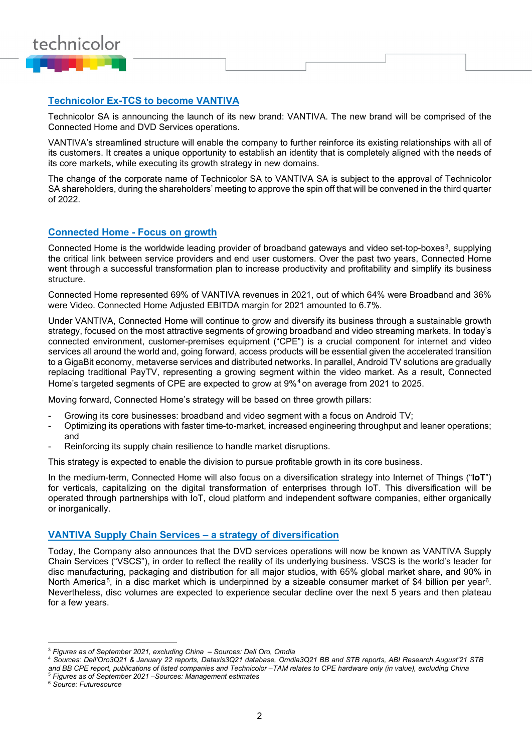

# **Technicolor Ex-TCS to become VANTIVA**

Technicolor SA is announcing the launch of its new brand: VANTIVA. The new brand will be comprised of the Connected Home and DVD Services operations.

VANTIVA's streamlined structure will enable the company to further reinforce its existing relationships with all of its customers. It creates a unique opportunity to establish an identity that is completely aligned with the needs of its core markets, while executing its growth strategy in new domains.

The change of the corporate name of Technicolor SA to VANTIVA SA is subject to the approval of Technicolor SA shareholders, during the shareholders' meeting to approve the spin off that will be convened in the third quarter of 2022.

#### **Connected Home - Focus on growth**

Connected Home is the worldwide leading provider of broadband gateways and video set-top-boxes<sup>[3](#page-1-0)</sup>, supplying the critical link between service providers and end user customers. Over the past two years, Connected Home went through a successful transformation plan to increase productivity and profitability and simplify its business structure.

Connected Home represented 69% of VANTIVA revenues in 2021, out of which 64% were Broadband and 36% were Video. Connected Home Adjusted EBITDA margin for 2021 amounted to 6.7%.

Under VANTIVA, Connected Home will continue to grow and diversify its business through a sustainable growth strategy, focused on the most attractive segments of growing broadband and video streaming markets. In today's connected environment, customer-premises equipment ("CPE") is a crucial component for internet and video services all around the world and, going forward, access products will be essential given the accelerated transition to a GigaBit economy, metaverse services and distributed networks. In parallel, Android TV solutions are gradually replacing traditional PayTV, representing a growing segment within the video market. As a result, Connected Home's targeted segments of CPE are expected to grow at 9%[4](#page-1-1) on average from 2021 to 2025.

Moving forward, Connected Home's strategy will be based on three growth pillars:

- Growing its core businesses: broadband and video segment with a focus on Android TV;
- Optimizing its operations with faster time-to-market, increased engineering throughput and leaner operations; and
- Reinforcing its supply chain resilience to handle market disruptions.

This strategy is expected to enable the division to pursue profitable growth in its core business.

In the medium-term, Connected Home will also focus on a diversification strategy into Internet of Things ("**IoT**") for verticals, capitalizing on the digital transformation of enterprises through IoT. This diversification will be operated through partnerships with IoT, cloud platform and independent software companies, either organically or inorganically.

#### **VANTIVA Supply Chain Services – a strategy of diversification**

Today, the Company also announces that the DVD services operations will now be known as VANTIVA Supply Chain Services ("VSCS"), in order to reflect the reality of its underlying business. VSCS is the world's leader for disc manufacturing, packaging and distribution for all major studios, with 65% global market share, and 90% in North America<sup>5</sup>, in a disc market which is underpinned by a sizeable consumer market of \$4 billion per year<sup>[6](#page-1-3)</sup>. Nevertheless, disc volumes are expected to experience secular decline over the next 5 years and then plateau for a few years.

<span id="page-1-0"></span><sup>3</sup> *Figures as of September 2021, excluding China – Sources: Dell Oro, Omdia*

<span id="page-1-1"></span><sup>4</sup> *Sources: Dell'Oro3Q21 & January 22 reports, Dataxis3Q21 database, Omdia3Q21 BB and STB reports, ABI Research August'21 STB and BB CPE report, publications of listed companies and Technicolor –TAM relates to CPE hardware only (in value), excluding China* <sup>5</sup> *Figures as of September 2021 –Sources: Management estimates*

<span id="page-1-3"></span><span id="page-1-2"></span><sup>6</sup> *Source: Futuresource*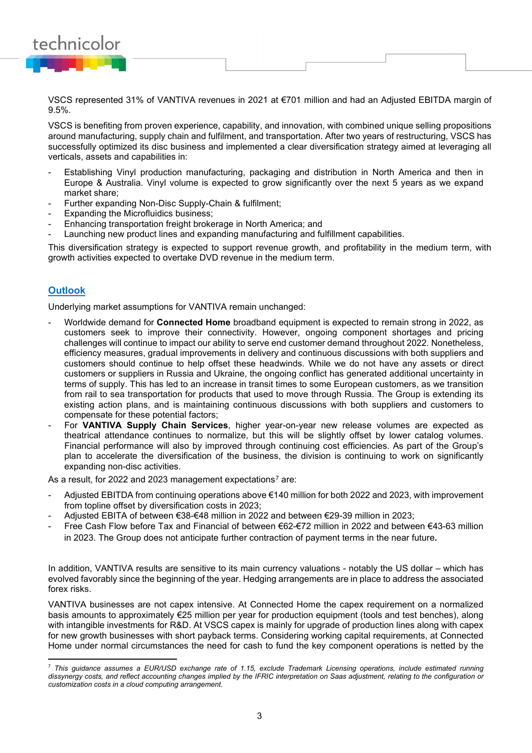

VSCS represented 31% of VANTIVA revenues in 2021 at €701 million and had an Adjusted EBITDA margin of 9.5%.

VSCS is benefiting from proven experience, capability, and innovation, with combined unique selling propositions around manufacturing, supply chain and fulfilment, and transportation. After two years of restructuring, VSCS has successfully optimized its disc business and implemented a clear diversification strategy aimed at leveraging all verticals, assets and capabilities in:

- Establishing Vinyl production manufacturing, packaging and distribution in North America and then in Europe & Australia. Vinyl volume is expected to grow significantly over the next 5 years as we expand market share;
- Further expanding Non-Disc Supply-Chain & fulfilment:
- Expanding the Microfluidics business:
- Enhancing transportation freight brokerage in North America; and
- Launching new product lines and expanding manufacturing and fulfillment capabilities.

This diversification strategy is expected to support revenue growth, and profitability in the medium term, with growth activities expected to overtake DVD revenue in the medium term.

# **Outlook**

Underlying market assumptions for VANTIVA remain unchanged:

- Worldwide demand for **Connected Home** broadband equipment is expected to remain strong in 2022, as customers seek to improve their connectivity. However, ongoing component shortages and pricing challenges will continue to impact our ability to serve end customer demand throughout 2022. Nonetheless, efficiency measures, gradual improvements in delivery and continuous discussions with both suppliers and customers should continue to help offset these headwinds. While we do not have any assets or direct customers or suppliers in Russia and Ukraine, the ongoing conflict has generated additional uncertainty in terms of supply. This has led to an increase in transit times to some European customers, as we transition from rail to sea transportation for products that used to move through Russia. The Group is extending its existing action plans, and is maintaining continuous discussions with both suppliers and customers to compensate for these potential factors;
- For **VANTIVA Supply Chain Services**, higher year-on-year new release volumes are expected as theatrical attendance continues to normalize, but this will be slightly offset by lower catalog volumes. Financial performance will also by improved through continuing cost efficiencies. As part of the Group's plan to accelerate the diversification of the business, the division is continuing to work on significantly expanding non-disc activities.

As a result, for 2022 and 2023 management expectations<sup>[7](#page-2-0)</sup> are:

- Adjusted EBITDA from continuing operations above €140 million for both 2022 and 2023, with improvement from topline offset by diversification costs in 2023;
- Adjusted EBITA of between €38-€48 million in 2022 and between €29-39 million in 2023;
- Free Cash Flow before Tax and Financial of between €62-€72 million in 2022 and between €43-63 million in 2023. The Group does not anticipate further contraction of payment terms in the near future**.**

In addition, VANTIVA results are sensitive to its main currency valuations - notably the US dollar – which has evolved favorably since the beginning of the year. Hedging arrangements are in place to address the associated forex risks.

VANTIVA businesses are not capex intensive. At Connected Home the capex requirement on a normalized basis amounts to approximately €25 million per year for production equipment (tools and test benches), along with intangible investments for R&D. At VSCS capex is mainly for upgrade of production lines along with capex for new growth businesses with short payback terms. Considering working capital requirements, at Connected Home under normal circumstances the need for cash to fund the key component operations is netted by the

<span id="page-2-0"></span><sup>7</sup> *This guidance assumes a EUR/USD exchange rate of 1.15, exclude Trademark Licensing operations, include estimated running dissynergy costs, and reflect accounting changes implied by the IFRIC interpretation on Saas adjustment, relating to the configuration or customization costs in a cloud computing arrangement.*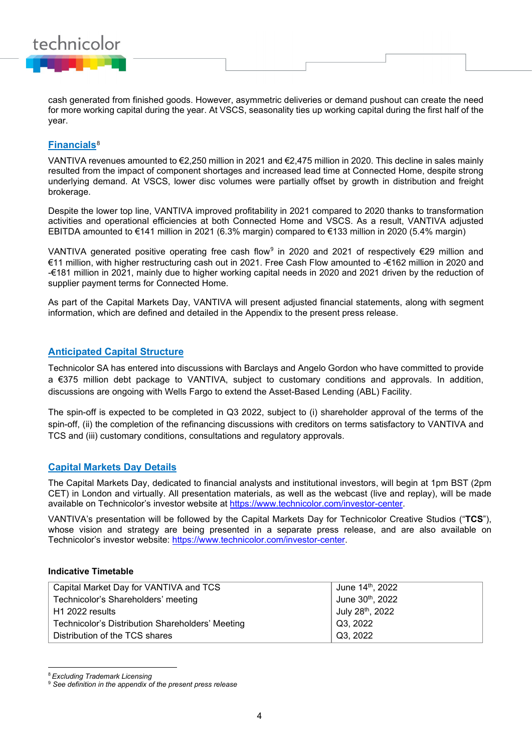

cash generated from finished goods. However, asymmetric deliveries or demand pushout can create the need for more working capital during the year. At VSCS, seasonality ties up working capital during the first half of the year.

# **Financials**[8](#page-3-0)

VANTIVA revenues amounted to €2,250 million in 2021 and €2,475 million in 2020. This decline in sales mainly resulted from the impact of component shortages and increased lead time at Connected Home, despite strong underlying demand. At VSCS, lower disc volumes were partially offset by growth in distribution and freight brokerage.

Despite the lower top line, VANTIVA improved profitability in 2021 compared to 2020 thanks to transformation activities and operational efficiencies at both Connected Home and VSCS. As a result, VANTIVA adjusted EBITDA amounted to €141 million in 2021 (6.3% margin) compared to €133 million in 2020 (5.4% margin)

VANTIVA generated positive operating free cash flow<sup>[9](#page-3-1)</sup> in 2020 and 2021 of respectively €29 million and €11 million, with higher restructuring cash out in 2021. Free Cash Flow amounted to -€162 million in 2020 and -€181 million in 2021, mainly due to higher working capital needs in 2020 and 2021 driven by the reduction of supplier payment terms for Connected Home.

As part of the Capital Markets Day, VANTIVA will present adjusted financial statements, along with segment information, which are defined and detailed in the Appendix to the present press release.

#### **Anticipated Capital Structure**

Technicolor SA has entered into discussions with Barclays and Angelo Gordon who have committed to provide a €375 million debt package to VANTIVA, subject to customary conditions and approvals. In addition, discussions are ongoing with Wells Fargo to extend the Asset-Based Lending (ABL) Facility.

The spin-off is expected to be completed in Q3 2022, subject to (i) shareholder approval of the terms of the spin-off, (ii) the completion of the refinancing discussions with creditors on terms satisfactory to VANTIVA and TCS and (iii) customary conditions, consultations and regulatory approvals.

### **Capital Markets Day Details**

The Capital Markets Day, dedicated to financial analysts and institutional investors, will begin at 1pm BST (2pm CET) in London and virtually. All presentation materials, as well as the webcast (live and replay), will be made available on Technicolor's investor website at [https://www.technicolor.com/investor-center.](https://www.technicolor.com/investor-center)

VANTIVA's presentation will be followed by the Capital Markets Day for Technicolor Creative Studios ("**TCS**"), whose vision and strategy are being presented in a separate press release, and are also available on Technicolor's investor website: [https://www.technicolor.com/investor-center.](https://www.technicolor.com/investor-center)

#### **Indicative Timetable**

| Capital Market Day for VANTIVA and TCS           | June 14 <sup>th</sup> , 2022 |
|--------------------------------------------------|------------------------------|
| Technicolor's Shareholders' meeting              | June 30th, 2022              |
| ∣ H1 2022 results                                | July 28 <sup>th</sup> , 2022 |
| Technicolor's Distribution Shareholders' Meeting | Q3, 2022                     |
| Distribution of the TCS shares                   | Q3, 2022                     |

<span id="page-3-0"></span><sup>8</sup>*Excluding Trademark Licensing*

<span id="page-3-1"></span><sup>9</sup> *See definition in the appendix of the present press release*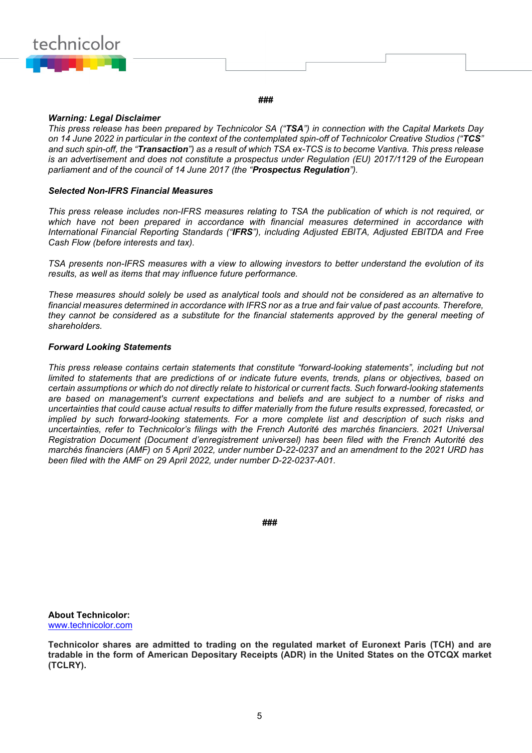

#### **###**

#### *Warning: Legal Disclaimer*

*This press release has been prepared by Technicolor SA ("TSA") in connection with the Capital Markets Day on 14 June 2022 in particular in the context of the contemplated spin-off of Technicolor Creative Studios ("TCS" and such spin-off, the "Transaction") as a result of which TSA ex-TCS is to become Vantiva. This press release is an advertisement and does not constitute a prospectus under Regulation (EU) 2017/1129 of the European parliament and of the council of 14 June 2017 (the "Prospectus Regulation").*

#### *Selected Non-IFRS Financial Measures*

*This press release includes non-IFRS measures relating to TSA the publication of which is not required, or which have not been prepared in accordance with financial measures determined in accordance with International Financial Reporting Standards ("IFRS"), including Adjusted EBITA, Adjusted EBITDA and Free Cash Flow (before interests and tax).*

*TSA presents non-IFRS measures with a view to allowing investors to better understand the evolution of its results, as well as items that may influence future performance.*

*These measures should solely be used as analytical tools and should not be considered as an alternative to financial measures determined in accordance with IFRS nor as a true and fair value of past accounts. Therefore, they cannot be considered as a substitute for the financial statements approved by the general meeting of shareholders.*

#### *Forward Looking Statements*

*This press release contains certain statements that constitute "forward-looking statements", including but not limited to statements that are predictions of or indicate future events, trends, plans or objectives, based on certain assumptions or which do not directly relate to historical or current facts. Such forward-looking statements are based on management's current expectations and beliefs and are subject to a number of risks and uncertainties that could cause actual results to differ materially from the future results expressed, forecasted, or implied by such forward-looking statements. For a more complete list and description of such risks and uncertainties, refer to Technicolor's filings with the French Autorité des marchés financiers. 2021 Universal Registration Document (Document d'enregistrement universel) has been filed with the French Autorité des marchés financiers (AMF) on 5 April 2022, under number D-22-0237 and an amendment to the 2021 URD has been filed with the AMF on 29 April 2022, under number D-22-0237-A01.*

**###**

**About Technicolor:**  [www.technicolor.com](http://www.technicolor.com/)

**Technicolor shares are admitted to trading on the regulated market of Euronext Paris (TCH) and are tradable in the form of American Depositary Receipts (ADR) in the United States on the OTCQX market (TCLRY).**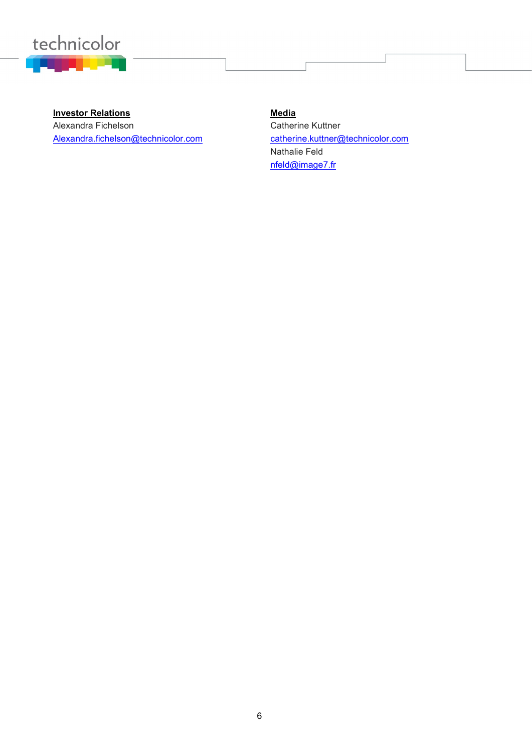

**Investor Relations Media** Alexandra Fichelson Alexandra.fichelson@technicolor.com

Catherine Kuttner catherine.kuttner@technicolor.com Nathalie Feld [nfeld@image7.fr](mailto:nfeld@image7.fr)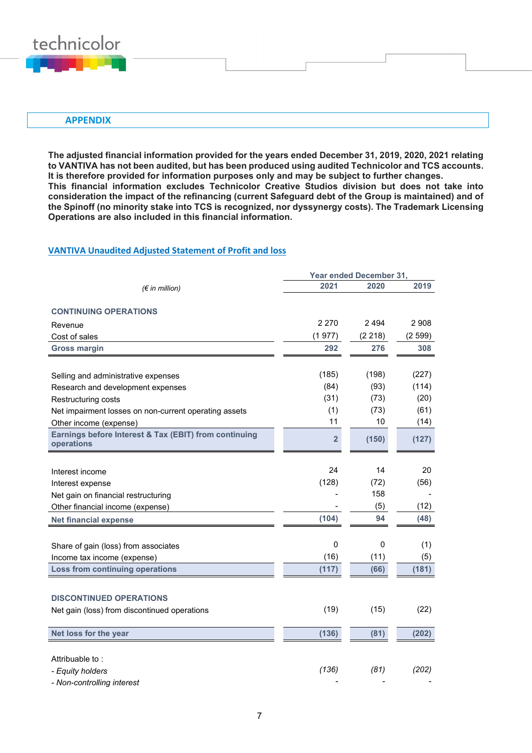

#### **APPENDIX**

**The adjusted financial information provided for the years ended December 31, 2019, 2020, 2021 relating to VANTIVA has not been audited, but has been produced using audited Technicolor and TCS accounts. It is therefore provided for information purposes only and may be subject to further changes. This financial information excludes Technicolor Creative Studios division but does not take into consideration the impact of the refinancing (current Safeguard debt of the Group is maintained) and of the Spinoff (no minority stake into TCS is recognized, nor dyssynergy costs). The Trademark Licensing Operations are also included in this financial information.**

#### **VANTIVA Unaudited Adjusted Statement of Profit and loss**

|                                                                     | Year ended December 31, |         |         |
|---------------------------------------------------------------------|-------------------------|---------|---------|
| $(\epsilon$ in million)                                             | 2021                    | 2020    | 2019    |
| <b>CONTINUING OPERATIONS</b>                                        |                         |         |         |
| Revenue                                                             | 2 2 7 0                 | 2494    | 2 9 0 8 |
| Cost of sales                                                       | (1977)                  | (2 218) | (2599)  |
| <b>Gross margin</b>                                                 | 292                     | 276     | 308     |
|                                                                     |                         |         |         |
| Selling and administrative expenses                                 | (185)                   | (198)   | (227)   |
| Research and development expenses                                   | (84)                    | (93)    | (114)   |
| Restructuring costs                                                 | (31)                    | (73)    | (20)    |
| Net impairment losses on non-current operating assets               | (1)                     | (73)    | (61)    |
| Other income (expense)                                              | 11                      | 10      | (14)    |
| Earnings before Interest & Tax (EBIT) from continuing<br>operations | $\overline{\mathbf{2}}$ | (150)   | (127)   |
|                                                                     |                         |         |         |
| Interest income                                                     | 24                      | 14      | 20      |
| Interest expense                                                    | (128)                   | (72)    | (56)    |
| Net gain on financial restructuring                                 |                         | 158     |         |
| Other financial income (expense)                                    |                         | (5)     | (12)    |
| <b>Net financial expense</b>                                        | (104)                   | 94      | (48)    |
|                                                                     |                         |         |         |
| Share of gain (loss) from associates                                | 0                       | 0       | (1)     |
| Income tax income (expense)                                         | (16)                    | (11)    | (5)     |
| <b>Loss from continuing operations</b>                              | (117)                   | (66)    | (181)   |
|                                                                     |                         |         |         |
| <b>DISCONTINUED OPERATIONS</b>                                      |                         |         |         |
| Net gain (loss) from discontinued operations                        | (19)                    | (15)    | (22)    |
|                                                                     |                         |         |         |
| Net loss for the year                                               | (136)                   | (81)    | (202)   |
|                                                                     |                         |         |         |
| Attribuable to:                                                     |                         |         |         |
| - Equity holders                                                    | (136)                   | (81)    | (202)   |
| - Non-controlling interest                                          |                         |         |         |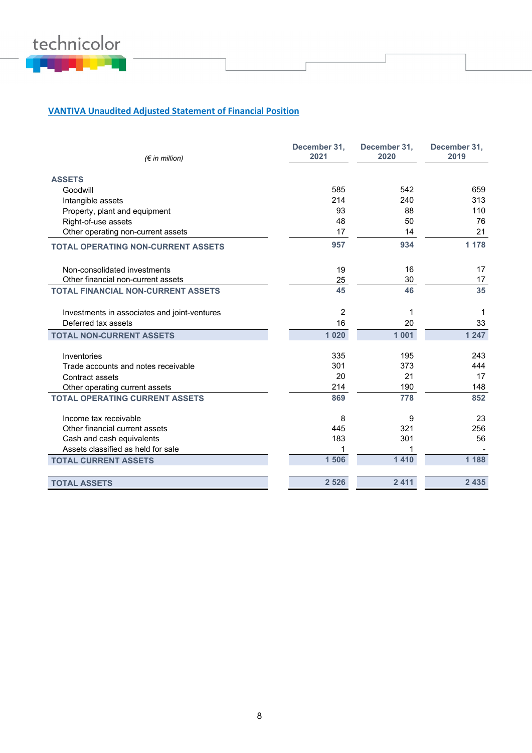

# **VANTIVA Unaudited Adjusted Statement of Financial Position**

| $(\epsilon$ in million)                      | December 31,<br>2021 | December 31,<br>2020 | December 31,<br>2019 |
|----------------------------------------------|----------------------|----------------------|----------------------|
|                                              |                      |                      |                      |
| <b>ASSETS</b>                                |                      |                      |                      |
| Goodwill                                     | 585                  | 542                  | 659                  |
| Intangible assets                            | 214                  | 240                  | 313                  |
| Property, plant and equipment                | 93                   | 88                   | 110                  |
| Right-of-use assets                          | 48                   | 50                   | 76                   |
| Other operating non-current assets           | 17                   | 14                   | 21                   |
| <b>TOTAL OPERATING NON-CURRENT ASSETS</b>    | 957                  | 934                  | 1 1 7 8              |
| Non-consolidated investments                 | 19                   | 16                   | 17                   |
| Other financial non-current assets           | 25                   | 30                   | 17                   |
| <b>TOTAL FINANCIAL NON-CURRENT ASSETS</b>    | 45                   | 46                   | 35                   |
| Investments in associates and joint-ventures | 2                    | 1                    |                      |
| Deferred tax assets                          | 16                   | 20                   | 33                   |
| <b>TOTAL NON-CURRENT ASSETS</b>              | 1 0 2 0              | 1 0 0 1              | 1 247                |
| Inventories                                  | 335                  | 195                  | 243                  |
| Trade accounts and notes receivable          | 301                  | 373                  | 444                  |
| Contract assets                              | 20                   | 21                   | 17                   |
| Other operating current assets               | 214                  | 190                  | 148                  |
| <b>TOTAL OPERATING CURRENT ASSETS</b>        | 869                  | 778                  | 852                  |
| Income tax receivable                        | 8                    | 9                    | 23                   |
| Other financial current assets               | 445                  | 321                  | 256                  |
| Cash and cash equivalents                    | 183                  | 301                  | 56                   |
| Assets classified as held for sale           | 1                    | 1                    |                      |
| <b>TOTAL CURRENT ASSETS</b>                  | 1 506                | 1410                 | 1 1 8 8              |
| <b>TOTAL ASSETS</b>                          | 2 5 2 6              | 2 4 1 1              | 2 4 3 5              |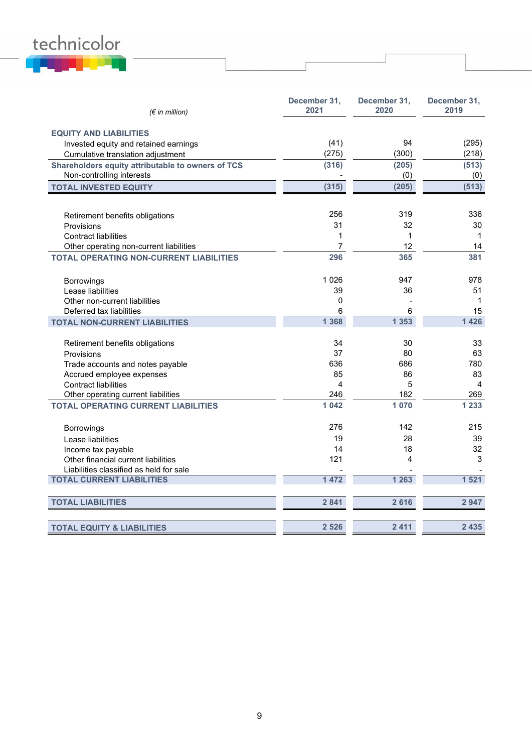# technicolor

| $(\epsilon$ in million)                           | December 31,<br>2021 | December 31,<br>2020 | December 31,<br>2019 |
|---------------------------------------------------|----------------------|----------------------|----------------------|
| <b>EQUITY AND LIABILITIES</b>                     |                      |                      |                      |
| Invested equity and retained earnings             | (41)                 | 94                   | (295)                |
| Cumulative translation adjustment                 | (275)                | (300)                | (218)                |
| Shareholders equity attributable to owners of TCS | (316)                | (205)                | (513)                |
| Non-controlling interests                         |                      | (0)                  | (0)                  |
| <b>TOTAL INVESTED EQUITY</b>                      | (315)                | (205)                | (513)                |
|                                                   |                      |                      |                      |
| Retirement benefits obligations                   | 256                  | 319                  | 336                  |
| Provisions                                        | 31                   | 32                   | 30                   |
| <b>Contract liabilities</b>                       | 1                    | 1                    | $\mathbf{1}$         |
| Other operating non-current liabilities           | $\overline{7}$       | 12                   | 14                   |
| <b>TOTAL OPERATING NON-CURRENT LIABILITIES</b>    | 296                  | 365                  | 381                  |
|                                                   | 1 0 2 6              | 947                  | 978                  |
| Borrowings<br>Lease liabilities                   | 39                   | 36                   | 51                   |
| Other non-current liabilities                     | 0                    |                      | $\mathbf{1}$         |
| Deferred tax liabilities                          | 6                    | 6                    | 15                   |
| <b>TOTAL NON-CURRENT LIABILITIES</b>              | 1 3 6 8              | 1 3 5 3              | 1 4 2 6              |
|                                                   |                      |                      |                      |
| Retirement benefits obligations                   | 34                   | 30                   | 33                   |
| Provisions                                        | 37                   | 80                   | 63                   |
| Trade accounts and notes payable                  | 636                  | 686                  | 780                  |
| Accrued employee expenses                         | 85                   | 86                   | 83                   |
| <b>Contract liabilities</b>                       | 4                    | 5                    | $\overline{4}$       |
| Other operating current liabilities               | 246                  | 182                  | 269                  |
| <b>TOTAL OPERATING CURRENT LIABILITIES</b>        | 1 042                | 1 0 7 0              | 1 2 3 3              |
| <b>Borrowings</b>                                 | 276                  | 142                  | 215                  |
| Lease liabilities                                 | 19                   | 28                   | 39                   |
| Income tax payable                                | 14                   | 18                   | 32                   |
| Other financial current liabilities               | 121                  | 4                    | 3                    |
| Liabilities classified as held for sale           |                      |                      |                      |
| <b>TOTAL CURRENT LIABILITIES</b>                  | 1 472                | 1 2 6 3              | 1 5 2 1              |
| <b>TOTAL LIABILITIES</b>                          | 2 8 4 1              | 2616                 | 2947                 |
|                                                   |                      |                      |                      |
| <b>TOTAL EQUITY &amp; LIABILITIES</b>             | 2 5 2 6              | 2 4 1 1              | 2 4 3 5              |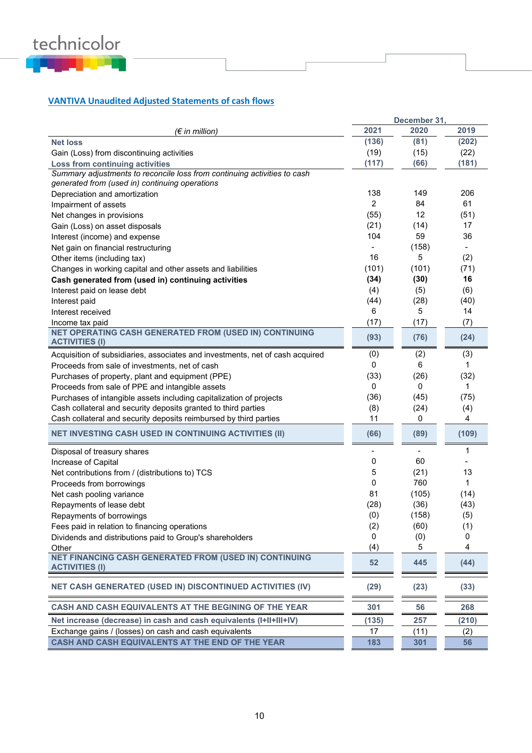

# **VANTIVA Unaudited Adjusted Statements of cash flows**

|                                                                               |                | December 31, |                          |
|-------------------------------------------------------------------------------|----------------|--------------|--------------------------|
| (€ in million)                                                                | 2021           | 2020         | 2019                     |
| <b>Net loss</b>                                                               | (136)          | (81)         | (202)                    |
| Gain (Loss) from discontinuing activities                                     | (19)           | (15)         | (22)                     |
| Loss from continuing activities                                               | (117)          | (66)         | (181)                    |
| Summary adjustments to reconcile loss from continuing activities to cash      |                |              |                          |
| generated from (used in) continuing operations                                |                |              |                          |
| Depreciation and amortization                                                 | 138            | 149          | 206                      |
| Impairment of assets                                                          | $\overline{2}$ | 84           | 61                       |
| Net changes in provisions                                                     | (55)           | 12           | (51)                     |
| Gain (Loss) on asset disposals                                                | (21)           | (14)         | 17                       |
| Interest (income) and expense                                                 | 104            | 59           | 36                       |
| Net gain on financial restructuring                                           |                | (158)        | $\overline{\phantom{0}}$ |
| Other items (including tax)                                                   | 16             | 5            | (2)                      |
| Changes in working capital and other assets and liabilities                   | (101)          | (101)        | (71)                     |
| Cash generated from (used in) continuing activities                           | (34)           | (30)         | 16                       |
| Interest paid on lease debt                                                   | (4)            | (5)          | (6)                      |
| Interest paid                                                                 | (44)           | (28)         | (40)                     |
| Interest received                                                             | 6              | 5            | 14                       |
| Income tax paid                                                               | (17)           | (17)         | (7)                      |
| <b>NET OPERATING CASH GENERATED FROM (USED IN) CONTINUING</b>                 |                |              |                          |
| <b>ACTIVITIES (I)</b>                                                         | (93)           | (76)         | (24)                     |
| Acquisition of subsidiaries, associates and investments, net of cash acquired | (0)            | (2)          | (3)                      |
| Proceeds from sale of investments, net of cash                                | 0              | 6            | 1                        |
| Purchases of property, plant and equipment (PPE)                              | (33)           | (26)         | (32)                     |
| Proceeds from sale of PPE and intangible assets                               | 0              | 0            | 1                        |
| Purchases of intangible assets including capitalization of projects           | (36)           | (45)         | (75)                     |
| Cash collateral and security deposits granted to third parties                | (8)            | (24)         | (4)                      |
| Cash collateral and security deposits reimbursed by third parties             | 11             | 0            | 4                        |
|                                                                               |                |              |                          |
| <b>NET INVESTING CASH USED IN CONTINUING ACTIVITIES (II)</b>                  | (66)           | (89)         | (109)                    |
| Disposal of treasury shares                                                   |                |              | 1                        |
| Increase of Capital                                                           | 0              | 60           |                          |
| Net contributions from / (distributions to) TCS                               | 5              | (21)         | 13                       |
| Proceeds from borrowings                                                      | 0              | 760          | $\mathbf{1}$             |
| Net cash pooling variance                                                     | 81             | (105)        | (14)                     |
| Repayments of lease debt                                                      | (28)           | (36)         | (43)                     |
| Repayments of borrowings                                                      | (0)            | (158)        | (5)                      |
| Fees paid in relation to financing operations                                 | (2)            | (60)         | (1)                      |
| Dividends and distributions paid to Group's shareholders                      | 0              | (0)          | 0                        |
| Other                                                                         | (4)            | 5            | 4                        |
| NET FINANCING CASH GENERATED FROM (USED IN) CONTINUING                        |                |              |                          |
| <b>ACTIVITIES (I)</b>                                                         | 52             | 445          | (44)                     |
| NET CASH GENERATED (USED IN) DISCONTINUED ACTIVITIES (IV)                     | (29)           | (23)         | (33)                     |
| CASH AND CASH EQUIVALENTS AT THE BEGINING OF THE YEAR                         | 301            | 56           | 268                      |
| Net increase (decrease) in cash and cash equivalents (I+II+III+IV)            | (135)          | 257          | (210)                    |
| Exchange gains / (losses) on cash and cash equivalents                        | 17             | (11)         | (2)                      |
| CASH AND CASH EQUIVALENTS AT THE END OF THE YEAR                              | 183            | 301          | 56                       |
|                                                                               |                |              |                          |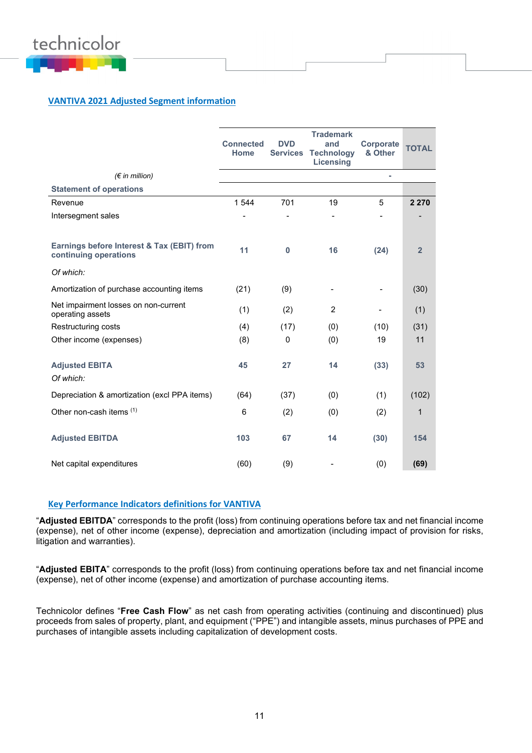

# **VANTIVA 2021 Adjusted Segment information**

|                                                                     | <b>Connected</b><br><b>Home</b> | <b>DVD</b>  | <b>Trademark</b><br>and<br><b>Services Technology</b><br><b>Licensing</b> | Corporate<br>& Other | <b>TOTAL</b>   |
|---------------------------------------------------------------------|---------------------------------|-------------|---------------------------------------------------------------------------|----------------------|----------------|
| $(\epsilon$ in million)                                             |                                 |             |                                                                           |                      |                |
| <b>Statement of operations</b>                                      |                                 |             |                                                                           |                      |                |
| Revenue                                                             | 1 5 4 4                         | 701         | 19                                                                        | 5                    | 2 2 7 0        |
| Intersegment sales                                                  |                                 |             |                                                                           |                      |                |
|                                                                     |                                 |             |                                                                           |                      |                |
| Earnings before Interest & Tax (EBIT) from<br>continuing operations | 11                              | $\bf{0}$    | 16                                                                        | (24)                 | $\overline{2}$ |
| Of which:                                                           |                                 |             |                                                                           |                      |                |
| Amortization of purchase accounting items                           | (21)                            | (9)         |                                                                           |                      | (30)           |
| Net impairment losses on non-current<br>operating assets            | (1)                             | (2)         | 2                                                                         |                      | (1)            |
| Restructuring costs                                                 | (4)                             | (17)        | (0)                                                                       | (10)                 | (31)           |
| Other income (expenses)                                             | (8)                             | $\mathbf 0$ | (0)                                                                       | 19                   | 11             |
|                                                                     |                                 |             |                                                                           |                      |                |
| <b>Adjusted EBITA</b>                                               | 45                              | 27          | 14                                                                        | (33)                 | 53             |
| Of which:                                                           |                                 |             |                                                                           |                      |                |
| Depreciation & amortization (excl PPA items)                        | (64)                            | (37)        | (0)                                                                       | (1)                  | (102)          |
| Other non-cash items (1)                                            | 6                               | (2)         | (0)                                                                       | (2)                  | $\mathbf{1}$   |
| <b>Adjusted EBITDA</b>                                              | 103                             | 67          | 14                                                                        | (30)                 | 154            |
| Net capital expenditures                                            | (60)                            | (9)         |                                                                           | (0)                  | (69)           |

#### **Key Performance Indicators definitions for VANTIVA**

"**Adjusted EBITDA**" corresponds to the profit (loss) from continuing operations before tax and net financial income (expense), net of other income (expense), depreciation and amortization (including impact of provision for risks, litigation and warranties).

"**Adjusted EBITA**" corresponds to the profit (loss) from continuing operations before tax and net financial income (expense), net of other income (expense) and amortization of purchase accounting items.

Technicolor defines "**Free Cash Flow**" as net cash from operating activities (continuing and discontinued) plus proceeds from sales of property, plant, and equipment ("PPE") and intangible assets, minus purchases of PPE and purchases of intangible assets including capitalization of development costs.